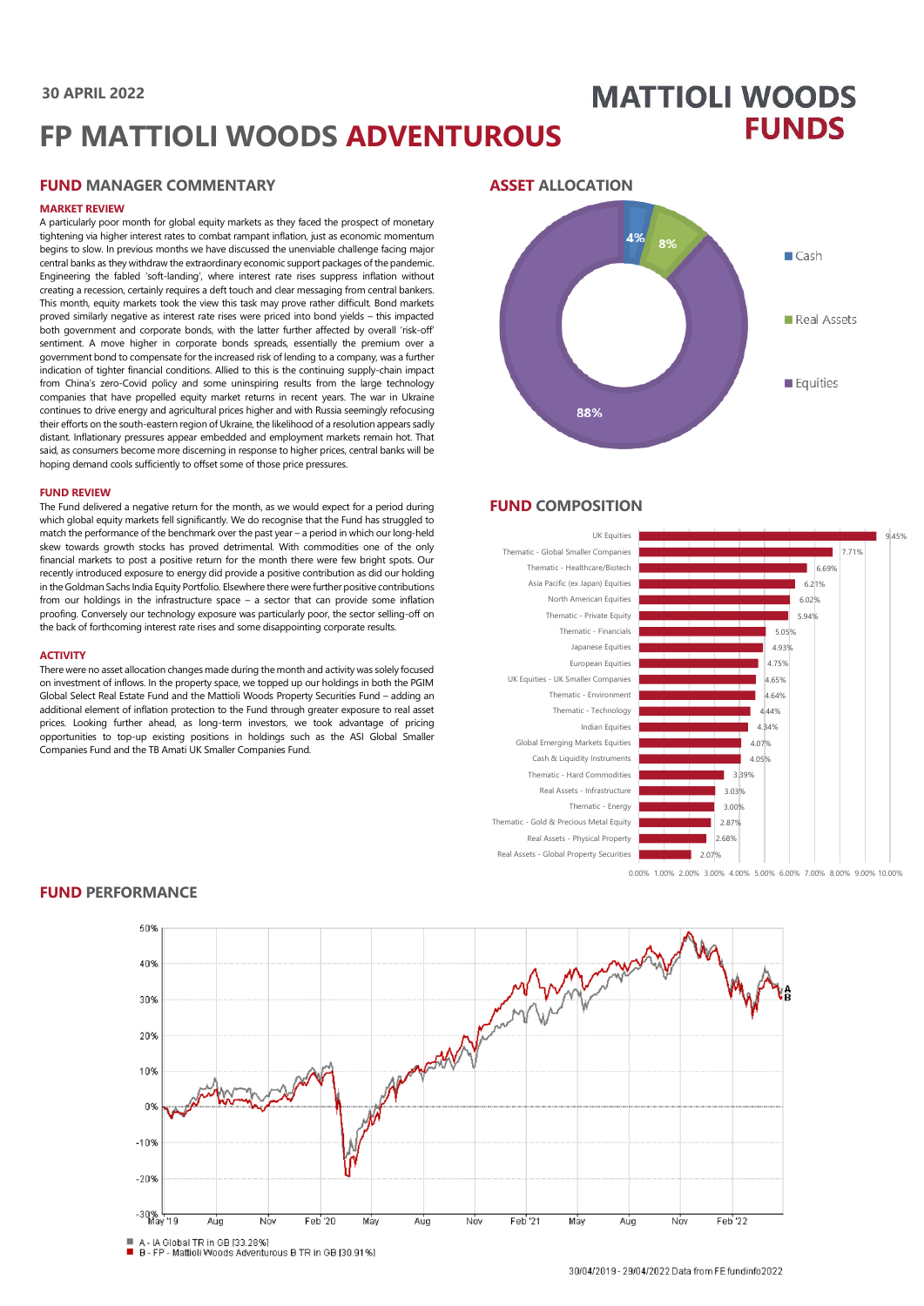### **30 APRIL 2022**

# **MATTIOLI WOODS FUNDS**

# **FP MATTIOLI WOODS ADVENTUROUS**

## **FUND MANAGER COMMENTARY**

#### **MARKET REVIEW**

A particularly poor month for global equity markets as they faced the prospect of monetary tightening via higher interest rates to combat rampant inflation, just as economic momentum begins to slow. In previous months we have discussed the unenviable challenge facing major central banks as they withdraw the extraordinary economic support packages of the pandemic. Engineering the fabled 'soft-landing', where interest rate rises suppress inflation without creating a recession, certainly requires a deft touch and clear messaging from central bankers. This month, equity markets took the view this task may prove rather difficult. Bond markets proved similarly negative as interest rate rises were priced into bond yields – this impacted both government and corporate bonds, with the latter further affected by overall 'risk-off' sentiment. A move higher in corporate bonds spreads, essentially the premium over a government bond to compensate for the increased risk of lending to a company, was a further indication of tighter financial conditions. Allied to this is the continuing supply-chain impact from China's zero-Covid policy and some uninspiring results from the large technology companies that have propelled equity market returns in recent years. The war in Ukraine continues to drive energy and agricultural prices higher and with Russia seemingly refocusing their efforts on the south-eastern region of Ukraine, the likelihood of a resolution appears sadly distant. Inflationary pressures appear embedded and employment markets remain hot. That said, as consumers become more discerning in response to higher prices, central banks will be hoping demand cools sufficiently to offset some of those price pressures.

#### **FUND REVIEW**

The Fund delivered a negative return for the month, as we would expect for a period during which global equity markets fell significantly. We do recognise that the Fund has struggled to match the performance of the benchmark over the past year – a period in which our long-held skew towards growth stocks has proved detrimental. With commodities one of the only financial markets to post a positive return for the month there were few bright spots. Our recently introduced exposure to energy did provide a positive contribution as did our holding in the Goldman Sachs India Equity Portfolio. Elsewhere there were further positive contributions from our holdings in the infrastructure space – a sector that can provide some inflation proofing. Conversely our technology exposure was particularly poor, the sector selling-off on the back of forthcoming interest rate rises and some disappointing corporate results.

#### **ACTIVITY**

There were no asset allocation changes made during the month and activity was solely focused on investment of inflows. In the property space, we topped up our holdings in both the PGIM Global Select Real Estate Fund and the Mattioli Woods Property Securities Fund – adding an additional element of inflation protection to the Fund through greater exposure to real asset prices. Looking further ahead, as long-term investors, we took advantage of pricing opportunities to top-up existing positions in holdings such as the ASI Global Smaller Companies Fund and the TB Amati UK Smaller Companies Fund.

# **ASSET ALLOCATION**



## **FUND COMPOSITION**



0.00% 1.00% 2.00% 3.00% 4.00% 5.00% 6.00% 7.00% 8.00% 9.00% 10.00%



#### **FUND PERFORMANCE**